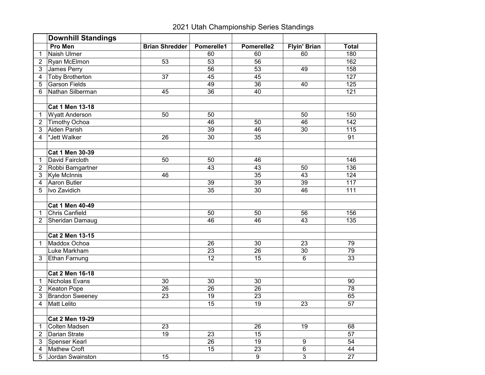## 2021 Utah Championship Series Standings

|                | <b>Downhill Standings</b> |                       |                 |                 |                     |                 |
|----------------|---------------------------|-----------------------|-----------------|-----------------|---------------------|-----------------|
|                | Pro Men                   | <b>Brian Shredder</b> | Pomerelle1      | Pomerelle2      | <b>Flyin' Brian</b> | <b>Total</b>    |
| 1              | Naish Ulmer               |                       | 60              | 60              | 60                  | 180             |
| $\overline{2}$ | Ryan McElmon              | 53                    | 53              | 56              |                     | 162             |
| 3              | James Perry               |                       | 56              | 53              | 49                  | 158             |
| 4              | <b>Toby Brotherton</b>    | 37                    | 45              | 45              |                     | 127             |
| 5              | Garson Fields             |                       | 49              | 36              | 40                  | 125             |
| 6              | Nathan Silberman          | 45                    | 36              | 40              |                     | 121             |
|                |                           |                       |                 |                 |                     |                 |
|                | <b>Cat 1 Men 13-18</b>    |                       |                 |                 |                     |                 |
| 1              | <b>Wyatt Anderson</b>     | $\overline{50}$       | 50              |                 | 50                  | 150             |
| $\overline{2}$ | <b>Timothy Ochoa</b>      |                       | 46              | $\overline{50}$ | 46                  | 142             |
| 3              | <b>Aiden Parish</b>       |                       | 39              | 46              | 30                  | 115             |
| 4              | *Jett Walker              | $\overline{26}$       | 30              | $\overline{35}$ |                     | 91              |
|                |                           |                       |                 |                 |                     |                 |
|                | <b>Cat 1 Men 30-39</b>    |                       |                 |                 |                     |                 |
| 1              | David Faircloth           | 50                    | 50              | 46              |                     | 146             |
| $\overline{2}$ | Robbi Bamgartner          |                       | $\overline{43}$ | $\overline{43}$ | 50                  | 136             |
| 3              | Kyle McInnis              | 46                    |                 | $\overline{35}$ | 43                  | 124             |
| 4              | <b>Aaron Butler</b>       |                       | 39              | 39              | 39                  | 117             |
| 5              | Ivo Zavidich              |                       | 35              | 30              | 46                  | 111             |
|                |                           |                       |                 |                 |                     |                 |
|                | <b>Cat 1 Men 40-49</b>    |                       |                 |                 |                     |                 |
| 1              | <b>Chris Canfield</b>     |                       | 50              | 50              | 56                  | 156             |
| 2              | Sheridan Damaug           |                       | 46              | 46              | 43                  | 135             |
|                |                           |                       |                 |                 |                     |                 |
|                | <b>Cat 2 Men 13-15</b>    |                       |                 |                 |                     |                 |
| $\mathbf{1}$   | Maddox Ochoa              |                       | 26              | 30              | 23                  | 79              |
|                | Luke Markham              |                       | 23              | 26              | 30                  | 79              |
| 3              | <b>Ethan Farnung</b>      |                       | 12              | 15              | 6                   | 33              |
|                |                           |                       |                 |                 |                     |                 |
|                | <b>Cat 2 Men 16-18</b>    |                       |                 |                 |                     |                 |
| 1              | Nicholas Evans            | 30                    | 30              | 30              |                     | 90              |
| 2              | Keaton Pope               | 26                    | 26              | 26              |                     | 78              |
| 3              | <b>Brandon Sweeney</b>    | 23                    | 19              | 23              |                     | 65              |
| 4              | <b>Matt Lelito</b>        |                       | $\overline{15}$ | 19              | $\overline{23}$     | $\overline{57}$ |
|                |                           |                       |                 |                 |                     |                 |
|                | <b>Cat 2 Men 19-29</b>    |                       |                 |                 |                     |                 |
| 1              | Colten Madsen             | 23                    |                 | 26              | 19                  | 68              |
| $\overline{2}$ | Darian Strate             | 19                    | 23              | $\overline{15}$ |                     | 57              |
| 3              | Spenser Kearl             |                       | 26              | 19              | 9                   | 54              |
| 4              | Mathew Croft              |                       | 15              | 23              | 6                   | 44              |
| 5              | Jordan Swainston          | 15                    |                 | 9               | $\mathbf{3}$        | 27              |